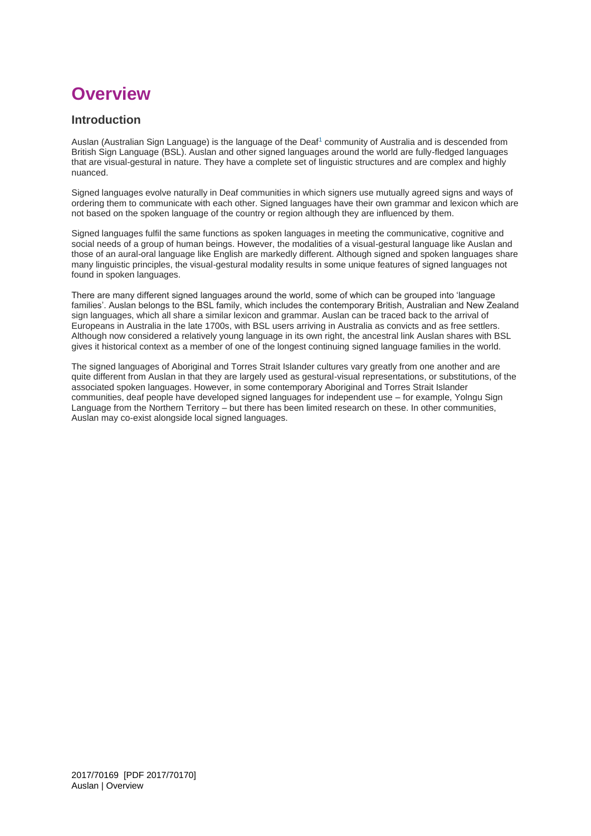# **Overview**

### **Introduction**

Auslan (Australian Sign Language) is the language of the Deaf<sup>[1](https://www.australiancurriculum.edu.au/f-10-curriculum/languages/auslan/introduction/#fn1)</sup> community of Australia and is descended from British Sign Language (BSL). Auslan and other signed languages around the world are fully-fledged languages that are visual-gestural in nature. They have a complete set of linguistic structures and are complex and highly nuanced.

Signed languages evolve naturally in Deaf communities in which signers use mutually agreed signs and ways of ordering them to communicate with each other. Signed languages have their own grammar and lexicon which are not based on the spoken language of the country or region although they are influenced by them.

Signed languages fulfil the same functions as spoken languages in meeting the communicative, cognitive and social needs of a group of human beings. However, the modalities of a visual-gestural language like Auslan and those of an aural-oral language like English are markedly different. Although signed and spoken languages share many linguistic principles, the visual-gestural modality results in some unique features of signed languages not found in spoken languages.

There are many different signed languages around the world, some of which can be grouped into 'language families'. Auslan belongs to the BSL family, which includes the contemporary British, Australian and New Zealand sign languages, which all share a similar lexicon and grammar. Auslan can be traced back to the arrival of Europeans in Australia in the late 1700s, with BSL users arriving in Australia as convicts and as free settlers. Although now considered a relatively young language in its own right, the ancestral link Auslan shares with BSL gives it historical context as a member of one of the longest continuing signed language families in the world.

The signed languages of Aboriginal and Torres Strait Islander cultures vary greatly from one another and are quite different from Auslan in that they are largely used as gestural-visual representations, or substitutions, of the associated spoken languages. However, in some contemporary Aboriginal and Torres Strait Islander communities, deaf people have developed signed languages for independent use – for example, Yolngu Sign Language from the Northern Territory – but there has been limited research on these. In other communities, Auslan may co-exist alongside local signed languages.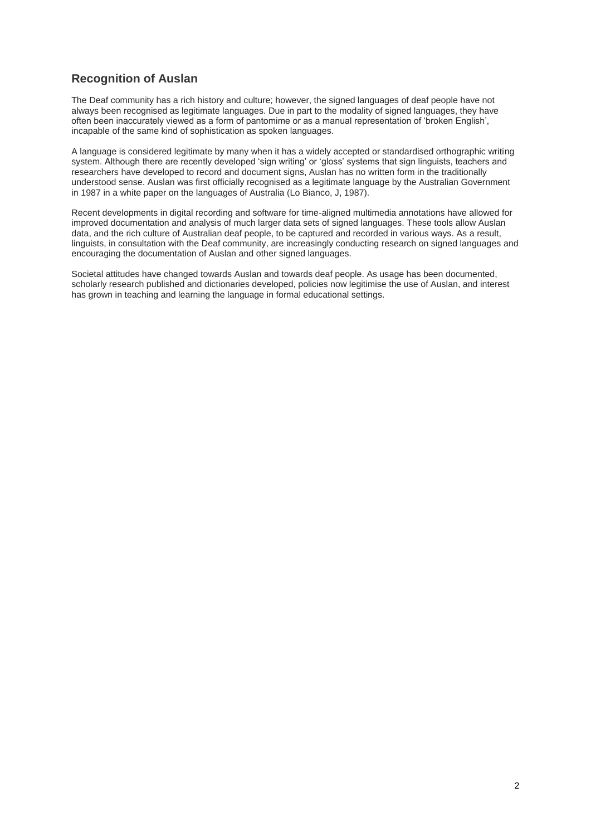# **Recognition of Auslan**

The Deaf community has a rich history and culture; however, the signed languages of deaf people have not always been recognised as legitimate languages. Due in part to the modality of signed languages, they have often been inaccurately viewed as a form of pantomime or as a manual representation of 'broken English', incapable of the same kind of sophistication as spoken languages.

A language is considered legitimate by many when it has a widely accepted or standardised orthographic writing system. Although there are recently developed 'sign writing' or 'gloss' systems that sign linguists, teachers and researchers have developed to record and document signs, Auslan has no written form in the traditionally understood sense. Auslan was first officially recognised as a legitimate language by the Australian Government in 1987 in a white paper on the languages of Australia (Lo Bianco, J, 1987).

Recent developments in digital recording and software for time-aligned multimedia annotations have allowed for improved documentation and analysis of much larger data sets of signed languages. These tools allow Auslan data, and the rich culture of Australian deaf people, to be captured and recorded in various ways. As a result, linguists, in consultation with the Deaf community, are increasingly conducting research on signed languages and encouraging the documentation of Auslan and other signed languages.

Societal attitudes have changed towards Auslan and towards deaf people. As usage has been documented, scholarly research published and dictionaries developed, policies now legitimise the use of Auslan, and interest has grown in teaching and learning the language in formal educational settings.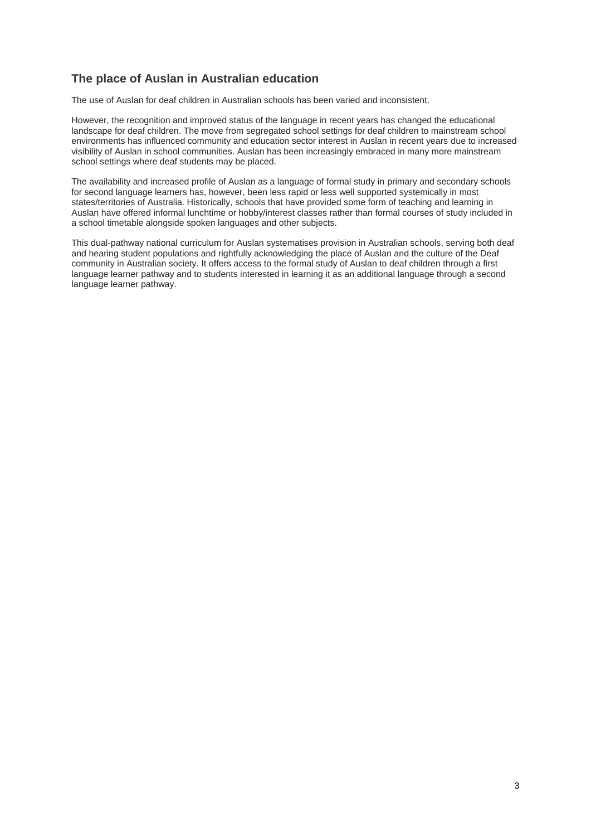## **The place of Auslan in Australian education**

The use of Auslan for deaf children in Australian schools has been varied and inconsistent.

However, the recognition and improved status of the language in recent years has changed the educational landscape for deaf children. The move from segregated school settings for deaf children to mainstream school environments has influenced community and education sector interest in Auslan in recent years due to increased visibility of Auslan in school communities. Auslan has been increasingly embraced in many more mainstream school settings where deaf students may be placed.

The availability and increased profile of Auslan as a language of formal study in primary and secondary schools for second language learners has, however, been less rapid or less well supported systemically in most states/territories of Australia. Historically, schools that have provided some form of teaching and learning in Auslan have offered informal lunchtime or hobby/interest classes rather than formal courses of study included in a school timetable alongside spoken languages and other subjects.

This dual-pathway national curriculum for Auslan systematises provision in Australian schools, serving both deaf and hearing student populations and rightfully acknowledging the place of Auslan and the culture of the Deaf community in Australian society. It offers access to the formal study of Auslan to deaf children through a first language learner pathway and to students interested in learning it as an additional language through a second language learner pathway.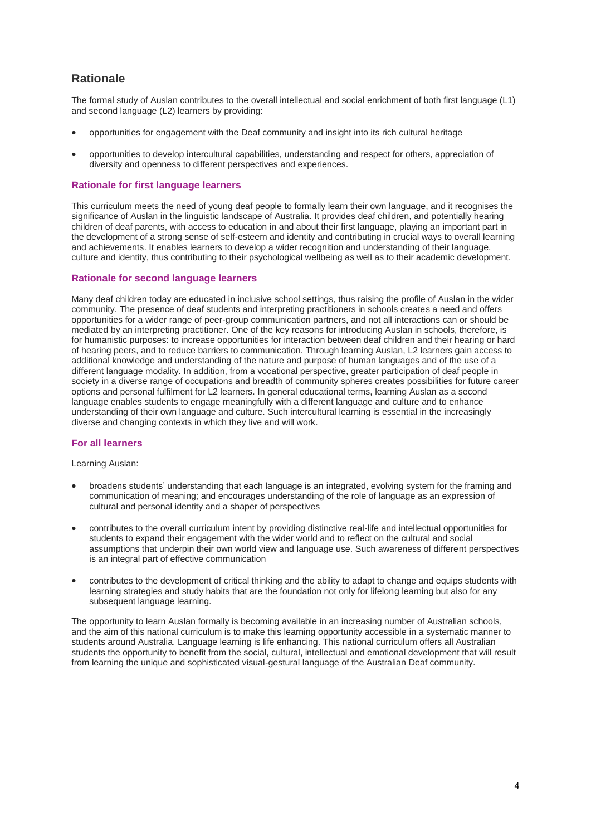## **Rationale**

The formal study of Auslan contributes to the overall intellectual and social enrichment of both first language (L1) and second language (L2) learners by providing:

- opportunities for engagement with the Deaf community and insight into its rich cultural heritage
- opportunities to develop intercultural capabilities, understanding and respect for others, appreciation of diversity and openness to different perspectives and experiences.

#### **Rationale for first language learners**

This curriculum meets the need of young deaf people to formally learn their own language, and it recognises the significance of Auslan in the linguistic landscape of Australia. It provides deaf children, and potentially hearing children of deaf parents, with access to education in and about their first language, playing an important part in the development of a strong sense of self-esteem and identity and contributing in crucial ways to overall learning and achievements. It enables learners to develop a wider recognition and understanding of their language, culture and identity, thus contributing to their psychological wellbeing as well as to their academic development.

#### **Rationale for second language learners**

Many deaf children today are educated in inclusive school settings, thus raising the profile of Auslan in the wider community. The presence of deaf students and interpreting practitioners in schools creates a need and offers opportunities for a wider range of peer-group communication partners, and not all interactions can or should be mediated by an interpreting practitioner. One of the key reasons for introducing Auslan in schools, therefore, is for humanistic purposes: to increase opportunities for interaction between deaf children and their hearing or hard of hearing peers, and to reduce barriers to communication. Through learning Auslan, L2 learners gain access to additional knowledge and understanding of the nature and purpose of human languages and of the use of a different language modality. In addition, from a vocational perspective, greater participation of deaf people in society in a diverse range of occupations and breadth of community spheres creates possibilities for future career options and personal fulfilment for L2 learners. In general educational terms, learning Auslan as a second language enables students to engage meaningfully with a different language and culture and to enhance understanding of their own language and culture. Such intercultural learning is essential in the increasingly diverse and changing contexts in which they live and will work.

#### **For all learners**

Learning Auslan:

- broadens students' understanding that each language is an integrated, evolving system for the framing and communication of meaning; and encourages understanding of the role of language as an expression of cultural and personal identity and a shaper of perspectives
- contributes to the overall curriculum intent by providing distinctive real-life and intellectual opportunities for students to expand their engagement with the wider world and to reflect on the cultural and social assumptions that underpin their own world view and language use. Such awareness of different perspectives is an integral part of effective communication
- contributes to the development of critical thinking and the ability to adapt to change and equips students with learning strategies and study habits that are the foundation not only for lifelong learning but also for any subsequent language learning.

The opportunity to learn Auslan formally is becoming available in an increasing number of Australian schools, and the aim of this national curriculum is to make this learning opportunity accessible in a systematic manner to students around Australia. Language learning is life enhancing. This national curriculum offers all Australian students the opportunity to benefit from the social, cultural, intellectual and emotional development that will result from learning the unique and sophisticated visual-gestural language of the Australian Deaf community.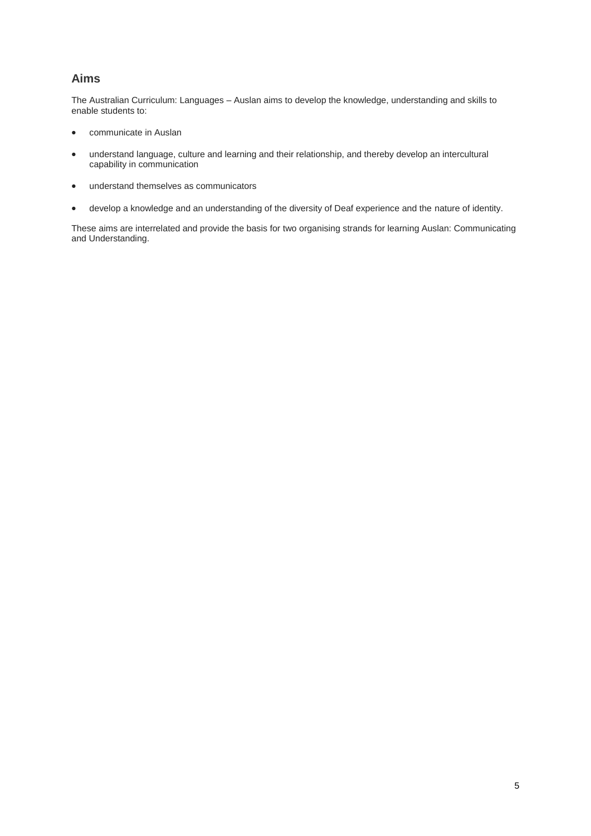# **Aims**

The Australian Curriculum: Languages – Auslan aims to develop the knowledge, understanding and skills to enable students to:

- communicate in Auslan
- understand language, culture and learning and their relationship, and thereby develop an intercultural capability in communication
- understand themselves as communicators
- develop a knowledge and an understanding of the diversity of Deaf experience and the nature of identity.

These aims are interrelated and provide the basis for two organising strands for learning Auslan: Communicating and Understanding.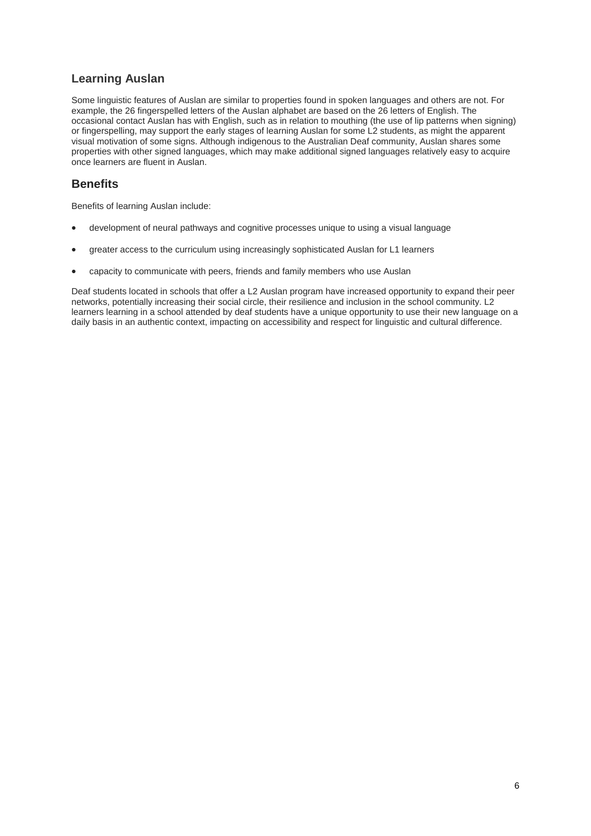# **Learning Auslan**

Some linguistic features of Auslan are similar to properties found in spoken languages and others are not. For example, the 26 fingerspelled letters of the Auslan alphabet are based on the 26 letters of English. The occasional contact Auslan has with English, such as in relation to mouthing (the use of lip patterns when signing) or fingerspelling, may support the early stages of learning Auslan for some L2 students, as might the apparent visual motivation of some signs. Although indigenous to the Australian Deaf community, Auslan shares some properties with other signed languages, which may make additional signed languages relatively easy to acquire once learners are fluent in Auslan.

### **Benefits**

Benefits of learning Auslan include:

- development of neural pathways and cognitive processes unique to using a visual language
- greater access to the curriculum using increasingly sophisticated Auslan for L1 learners
- capacity to communicate with peers, friends and family members who use Auslan

Deaf students located in schools that offer a L2 Auslan program have increased opportunity to expand their peer networks, potentially increasing their social circle, their resilience and inclusion in the school community. L2 learners learning in a school attended by deaf students have a unique opportunity to use their new language on a daily basis in an authentic context, impacting on accessibility and respect for linguistic and cultural difference.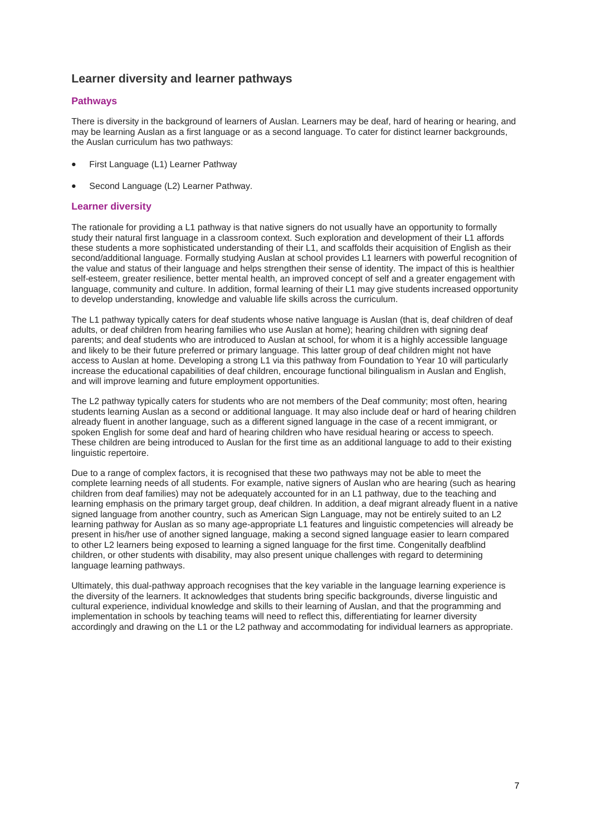### **Learner diversity and learner pathways**

#### **Pathways**

There is diversity in the background of learners of Auslan. Learners may be deaf, hard of hearing or hearing, and may be learning Auslan as a first language or as a second language. To cater for distinct learner backgrounds, the Auslan curriculum has two pathways:

- First Language (L1) Learner Pathway
- Second Language (L2) Learner Pathway.

#### **Learner diversity**

The rationale for providing a L1 pathway is that native signers do not usually have an opportunity to formally study their natural first language in a classroom context. Such exploration and development of their L1 affords these students a more sophisticated understanding of their L1, and scaffolds their acquisition of English as their second/additional language. Formally studying Auslan at school provides L1 learners with powerful recognition of the value and status of their language and helps strengthen their sense of identity. The impact of this is healthier self-esteem, greater resilience, better mental health, an improved concept of self and a greater engagement with language, community and culture. In addition, formal learning of their L1 may give students increased opportunity to develop understanding, knowledge and valuable life skills across the curriculum.

The L1 pathway typically caters for deaf students whose native language is Auslan (that is, deaf children of deaf adults, or deaf children from hearing families who use Auslan at home); hearing children with signing deaf parents; and deaf students who are introduced to Auslan at school, for whom it is a highly accessible language and likely to be their future preferred or primary language. This latter group of deaf children might not have access to Auslan at home. Developing a strong L1 via this pathway from Foundation to Year 10 will particularly increase the educational capabilities of deaf children, encourage functional bilingualism in Auslan and English, and will improve learning and future employment opportunities.

The L2 pathway typically caters for students who are not members of the Deaf community; most often, hearing students learning Auslan as a second or additional language. It may also include deaf or hard of hearing children already fluent in another language, such as a different signed language in the case of a recent immigrant, or spoken English for some deaf and hard of hearing children who have residual hearing or access to speech. These children are being introduced to Auslan for the first time as an additional language to add to their existing linguistic repertoire.

Due to a range of complex factors, it is recognised that these two pathways may not be able to meet the complete learning needs of all students. For example, native signers of Auslan who are hearing (such as hearing children from deaf families) may not be adequately accounted for in an L1 pathway, due to the teaching and learning emphasis on the primary target group, deaf children. In addition, a deaf migrant already fluent in a native signed language from another country, such as American Sign Language, may not be entirely suited to an L2 learning pathway for Auslan as so many age-appropriate L1 features and linguistic competencies will already be present in his/her use of another signed language, making a second signed language easier to learn compared to other L2 learners being exposed to learning a signed language for the first time. Congenitally deafblind children, or other students with disability, may also present unique challenges with regard to determining language learning pathways.

Ultimately, this dual-pathway approach recognises that the key variable in the language learning experience is the diversity of the learners. It acknowledges that students bring specific backgrounds, diverse linguistic and cultural experience, individual knowledge and skills to their learning of Auslan, and that the programming and implementation in schools by teaching teams will need to reflect this, differentiating for learner diversity accordingly and drawing on the L1 or the L2 pathway and accommodating for individual learners as appropriate.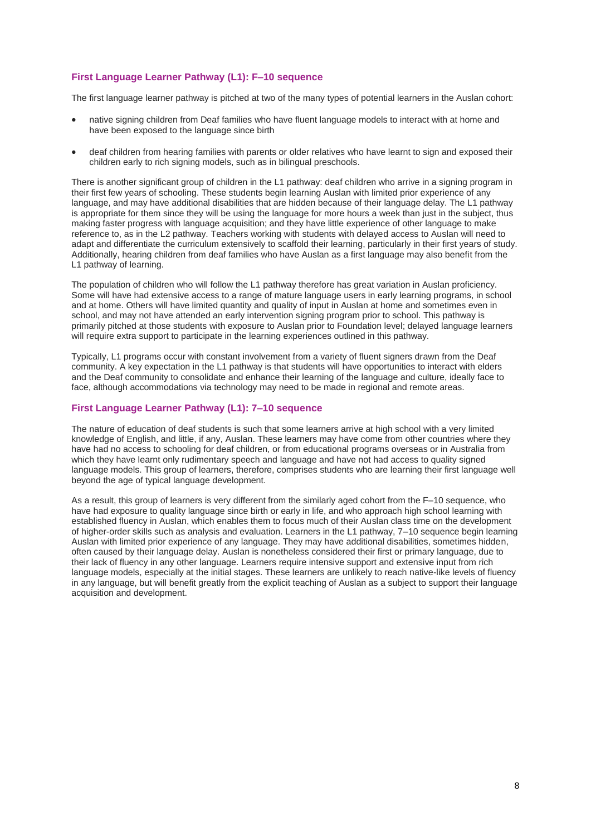#### **First Language Learner Pathway (L1): F–10 sequence**

The first language learner pathway is pitched at two of the many types of potential learners in the Auslan cohort:

- native signing children from Deaf families who have fluent language models to interact with at home and have been exposed to the language since birth
- deaf children from hearing families with parents or older relatives who have learnt to sign and exposed their children early to rich signing models, such as in bilingual preschools.

There is another significant group of children in the L1 pathway: deaf children who arrive in a signing program in their first few years of schooling. These students begin learning Auslan with limited prior experience of any language, and may have additional disabilities that are hidden because of their language delay. The L1 pathway is appropriate for them since they will be using the language for more hours a week than just in the subject, thus making faster progress with language acquisition; and they have little experience of other language to make reference to, as in the L2 pathway. Teachers working with students with delayed access to Auslan will need to adapt and differentiate the curriculum extensively to scaffold their learning, particularly in their first years of study. Additionally, hearing children from deaf families who have Auslan as a first language may also benefit from the L1 pathway of learning.

The population of children who will follow the L1 pathway therefore has great variation in Auslan proficiency. Some will have had extensive access to a range of mature language users in early learning programs, in school and at home. Others will have limited quantity and quality of input in Auslan at home and sometimes even in school, and may not have attended an early intervention signing program prior to school. This pathway is primarily pitched at those students with exposure to Auslan prior to Foundation level; delayed language learners will require extra support to participate in the learning experiences outlined in this pathway.

Typically, L1 programs occur with constant involvement from a variety of fluent signers drawn from the Deaf community. A key expectation in the L1 pathway is that students will have opportunities to interact with elders and the Deaf community to consolidate and enhance their learning of the language and culture, ideally face to face, although accommodations via technology may need to be made in regional and remote areas.

#### **First Language Learner Pathway (L1): 7–10 sequence**

The nature of education of deaf students is such that some learners arrive at high school with a very limited knowledge of English, and little, if any, Auslan. These learners may have come from other countries where they have had no access to schooling for deaf children, or from educational programs overseas or in Australia from which they have learnt only rudimentary speech and language and have not had access to quality signed language models. This group of learners, therefore, comprises students who are learning their first language well beyond the age of typical language development.

As a result, this group of learners is very different from the similarly aged cohort from the F–10 sequence, who have had exposure to quality language since birth or early in life, and who approach high school learning with established fluency in Auslan, which enables them to focus much of their Auslan class time on the development of higher-order skills such as analysis and evaluation. Learners in the L1 pathway, 7–10 sequence begin learning Auslan with limited prior experience of any language. They may have additional disabilities, sometimes hidden, often caused by their language delay. Auslan is nonetheless considered their first or primary language, due to their lack of fluency in any other language. Learners require intensive support and extensive input from rich language models, especially at the initial stages. These learners are unlikely to reach native-like levels of fluency in any language, but will benefit greatly from the explicit teaching of Auslan as a subject to support their language acquisition and development.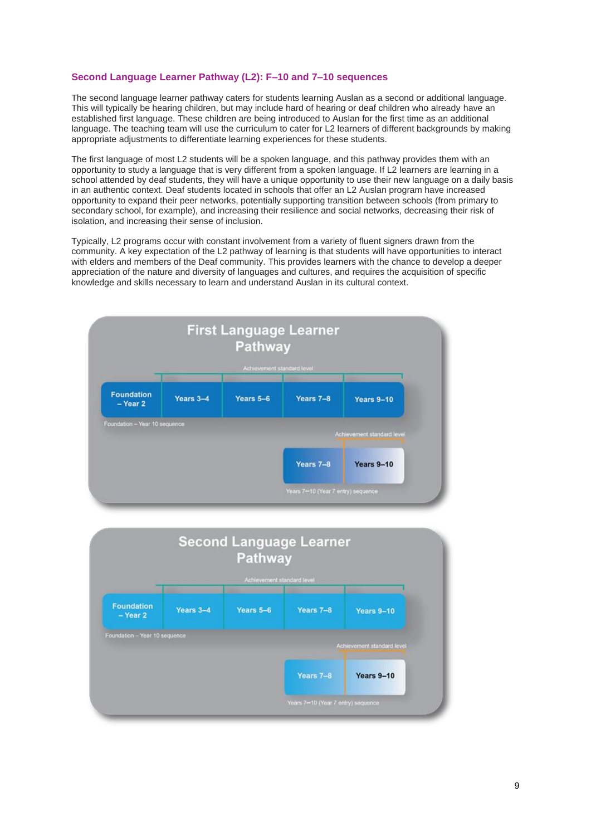#### **Second Language Learner Pathway (L2): F–10 and 7–10 sequences**

The second language learner pathway caters for students learning Auslan as a second or additional language. This will typically be hearing children, but may include hard of hearing or deaf children who already have an established first language. These children are being introduced to Auslan for the first time as an additional language. The teaching team will use the curriculum to cater for L2 learners of different backgrounds by making appropriate adjustments to differentiate learning experiences for these students.

The first language of most L2 students will be a spoken language, and this pathway provides them with an opportunity to study a language that is very different from a spoken language. If L2 learners are learning in a school attended by deaf students, they will have a unique opportunity to use their new language on a daily basis in an authentic context. Deaf students located in schools that offer an L2 Auslan program have increased opportunity to expand their peer networks, potentially supporting transition between schools (from primary to secondary school, for example), and increasing their resilience and social networks, decreasing their risk of isolation, and increasing their sense of inclusion.

Typically, L2 programs occur with constant involvement from a variety of fluent signers drawn from the community. A key expectation of the L2 pathway of learning is that students will have opportunities to interact with elders and members of the Deaf community. This provides learners with the chance to develop a deeper appreciation of the nature and diversity of languages and cultures, and requires the acquisition of specific knowledge and skills necessary to learn and understand Auslan in its cultural context.



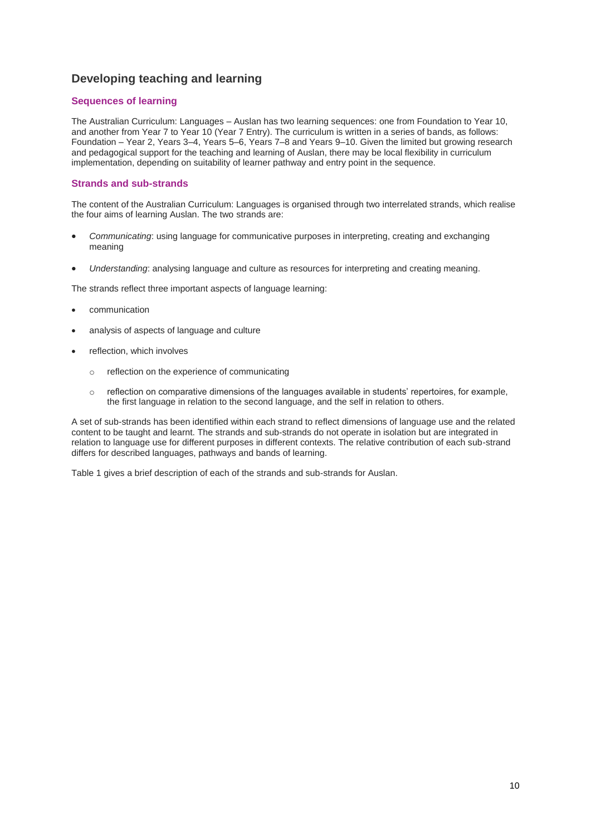## **Developing teaching and learning**

#### **Sequences of learning**

The Australian Curriculum: Languages – Auslan has two learning sequences: one from Foundation to Year 10, and another from Year 7 to Year 10 (Year 7 Entry). The curriculum is written in a series of bands, as follows: Foundation – Year 2, Years 3–4, Years 5–6, Years 7–8 and Years 9–10. Given the limited but growing research and pedagogical support for the teaching and learning of Auslan, there may be local flexibility in curriculum implementation, depending on suitability of learner pathway and entry point in the sequence.

#### **Strands and sub-strands**

The content of the Australian Curriculum: Languages is organised through two interrelated strands, which realise the four aims of learning Auslan. The two strands are:

- *Communicating*: using language for communicative purposes in interpreting, creating and exchanging meaning
- *Understanding*: analysing language and culture as resources for interpreting and creating meaning.

The strands reflect three important aspects of language learning:

- communication
- analysis of aspects of language and culture
- reflection, which involves
	- o reflection on the experience of communicating
	- o reflection on comparative dimensions of the languages available in students' repertoires, for example, the first language in relation to the second language, and the self in relation to others.

A set of sub-strands has been identified within each strand to reflect dimensions of language use and the related content to be taught and learnt. The strands and sub-strands do not operate in isolation but are integrated in relation to language use for different purposes in different contexts. The relative contribution of each sub-strand differs for described languages, pathways and bands of learning.

Table 1 gives a brief description of each of the strands and sub-strands for Auslan.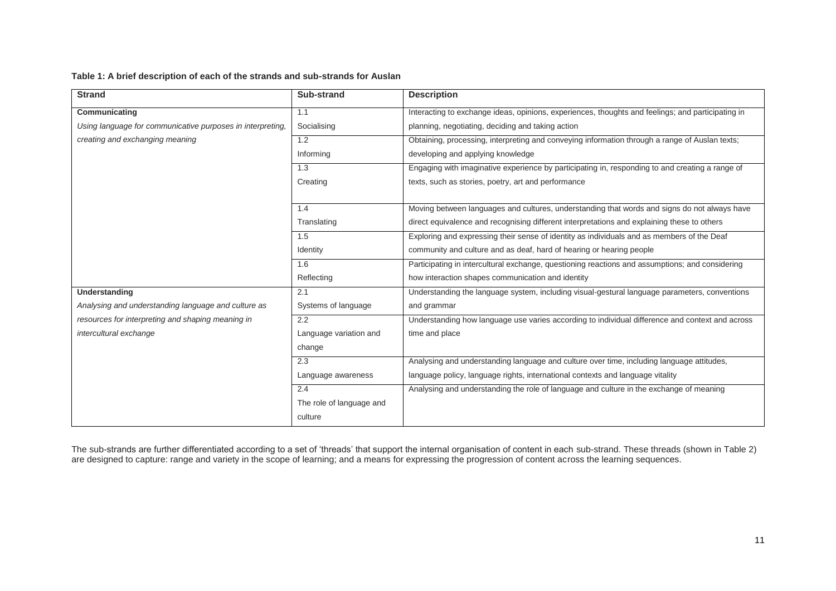#### **Table 1: A brief description of each of the strands and sub-strands for Auslan**

| <b>Strand</b>                                              | Sub-strand               | <b>Description</b>                                                                                |  |
|------------------------------------------------------------|--------------------------|---------------------------------------------------------------------------------------------------|--|
| Communicating                                              | 1.1                      | Interacting to exchange ideas, opinions, experiences, thoughts and feelings; and participating in |  |
| Using language for communicative purposes in interpreting, | Socialising              | planning, negotiating, deciding and taking action                                                 |  |
| creating and exchanging meaning                            | 1.2                      | Obtaining, processing, interpreting and conveying information through a range of Auslan texts;    |  |
|                                                            | Informing                | developing and applying knowledge                                                                 |  |
|                                                            | 1.3                      | Engaging with imaginative experience by participating in, responding to and creating a range of   |  |
|                                                            | Creating                 | texts, such as stories, poetry, art and performance                                               |  |
|                                                            |                          |                                                                                                   |  |
|                                                            | 1.4                      | Moving between languages and cultures, understanding that words and signs do not always have      |  |
|                                                            | Translating              | direct equivalence and recognising different interpretations and explaining these to others       |  |
|                                                            | 1.5                      | Exploring and expressing their sense of identity as individuals and as members of the Deaf        |  |
|                                                            | Identity                 | community and culture and as deaf, hard of hearing or hearing people                              |  |
|                                                            | 1.6                      | Participating in intercultural exchange, questioning reactions and assumptions; and considering   |  |
|                                                            | Reflecting               | how interaction shapes communication and identity                                                 |  |
| Understanding                                              | 2.1                      | Understanding the language system, including visual-gestural language parameters, conventions     |  |
| Analysing and understanding language and culture as        | Systems of language      | and grammar                                                                                       |  |
| resources for interpreting and shaping meaning in          | 2.2                      | Understanding how language use varies according to individual difference and context and across   |  |
| intercultural exchange                                     | Language variation and   | time and place                                                                                    |  |
|                                                            | change                   |                                                                                                   |  |
|                                                            | 2.3                      | Analysing and understanding language and culture over time, including language attitudes,         |  |
|                                                            | Language awareness       | language policy, language rights, international contexts and language vitality                    |  |
|                                                            | 2.4                      | Analysing and understanding the role of language and culture in the exchange of meaning           |  |
|                                                            | The role of language and |                                                                                                   |  |
|                                                            | culture                  |                                                                                                   |  |

The sub-strands are further differentiated according to a set of 'threads' that support the internal organisation of content in each sub-strand. These threads (shown in Table 2) are designed to capture: range and variety in the scope of learning; and a means for expressing the progression of content across the learning sequences.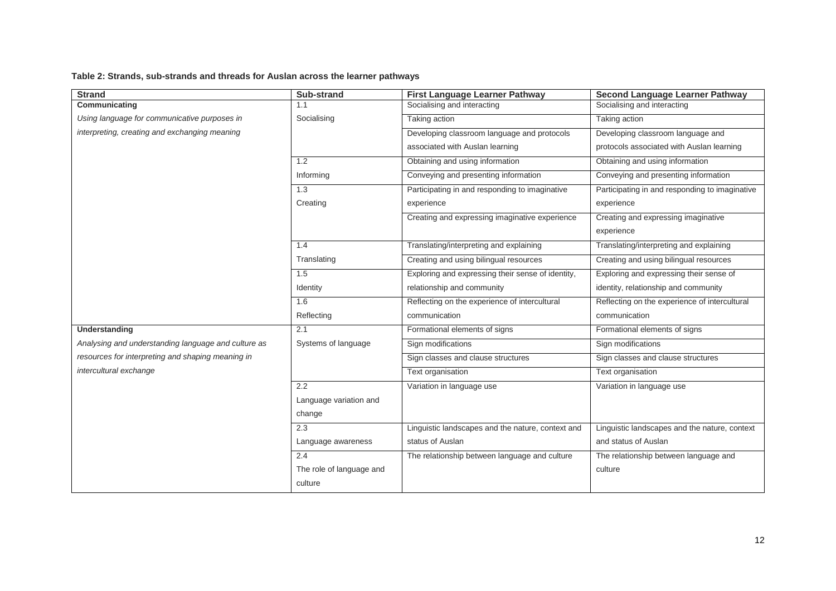### **Table 2: Strands, sub-strands and threads for Auslan across the learner pathways**

| <b>Strand</b>                                       | Sub-strand               | <b>First Language Learner Pathway</b>             | <b>Second Language Learner Pathway</b>         |
|-----------------------------------------------------|--------------------------|---------------------------------------------------|------------------------------------------------|
| Communicating                                       | 1.1                      | Socialising and interacting                       | Socialising and interacting                    |
| Using language for communicative purposes in        | Socialising              | Taking action                                     | Taking action                                  |
| interpreting, creating and exchanging meaning       |                          | Developing classroom language and protocols       | Developing classroom language and              |
|                                                     |                          | associated with Auslan learning                   | protocols associated with Auslan learning      |
|                                                     | 1.2                      | Obtaining and using information                   | Obtaining and using information                |
|                                                     | Informing                | Conveying and presenting information              | Conveying and presenting information           |
|                                                     | 1.3                      | Participating in and responding to imaginative    | Participating in and responding to imaginative |
|                                                     | Creating                 | experience                                        | experience                                     |
|                                                     |                          | Creating and expressing imaginative experience    | Creating and expressing imaginative            |
|                                                     |                          |                                                   | experience                                     |
|                                                     | 1.4                      | Translating/interpreting and explaining           | Translating/interpreting and explaining        |
|                                                     | Translating              | Creating and using bilingual resources            | Creating and using bilingual resources         |
|                                                     | 1.5                      | Exploring and expressing their sense of identity, | Exploring and expressing their sense of        |
|                                                     | Identity                 | relationship and community                        | identity, relationship and community           |
|                                                     | 1.6                      | Reflecting on the experience of intercultural     | Reflecting on the experience of intercultural  |
|                                                     | Reflecting               | communication                                     | communication                                  |
| Understanding                                       | 2.1                      | Formational elements of signs                     | Formational elements of signs                  |
| Analysing and understanding language and culture as | Systems of language      | Sign modifications                                | Sign modifications                             |
| resources for interpreting and shaping meaning in   |                          | Sign classes and clause structures                | Sign classes and clause structures             |
| intercultural exchange                              |                          | Text organisation                                 | Text organisation                              |
|                                                     | 2.2                      | Variation in language use                         | Variation in language use                      |
|                                                     | Language variation and   |                                                   |                                                |
|                                                     | change                   |                                                   |                                                |
|                                                     | 2.3                      | Linguistic landscapes and the nature, context and | Linguistic landscapes and the nature, context  |
|                                                     | Language awareness       | status of Auslan                                  | and status of Auslan                           |
|                                                     | 2.4                      | The relationship between language and culture     | The relationship between language and          |
|                                                     | The role of language and |                                                   | culture                                        |
|                                                     | culture                  |                                                   |                                                |
|                                                     |                          |                                                   |                                                |